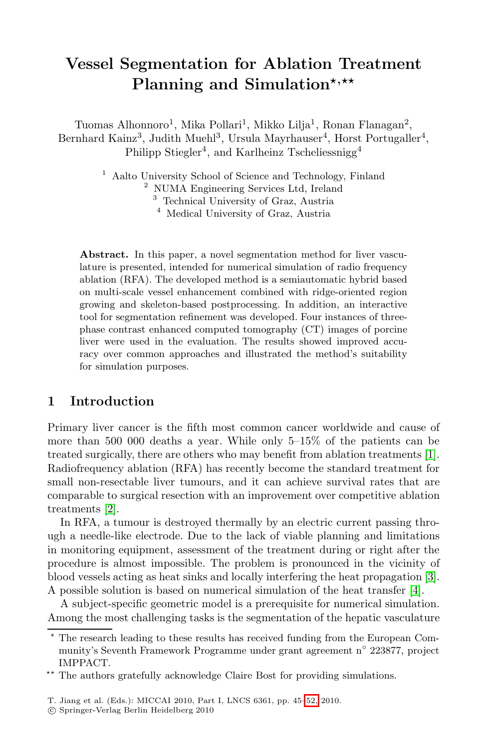# **Vessel Segmentation for Ablation Treatment** Planning and Simulation\*,\*\*

Tuomas Alhonnoro<sup>1</sup>, Mika Pollari<sup>1</sup>, Mikko Lilja<sup>1</sup>, Ronan Flanagan<sup>2</sup>, Bernhard Kainz<sup>3</sup>, Judith Muehl<sup>3</sup>, Ursula Mayrhauser<sup>4</sup>, Horst Portugaller<sup>4</sup>, Philipp Stiegler<sup>4</sup>, and Karlheinz Tscheliessnigg<sup>4</sup>

<sup>1</sup> Aalto University School of Science and Technology, Finland

<sup>2</sup> NUMA Engineering Services Ltd, Ireland

<sup>3</sup> Technical University of Graz, Austria

<sup>4</sup> Medical University of Graz, Austria

**Abstract.** In this paper, a novel segmentation method for liver vasculature is presented, intended for numerical simulation of radio frequency ablation (RFA). The developed method is a semiautomatic hybrid based on multi-scale vessel enhancement combined with ridge-oriented region growing and skeleton-based postprocessing. In addition, an interactive tool for segmentation refinement was developed. Four instances of threephase contrast enhanced computed tomography (CT) images of porcine liver were used in the evaluation. The results showed improved accuracy over common approaches and illustrated the met[ho](#page-7-0)d's suitability for simulation purposes.

### **1 Introduction**

Primary liver cancer is the fifth most common cancer worldwide and cause of more than 500 000 deaths a year. While only 5–15% of the patients can be treated surgically, there are others who may benefit from ablation treatments [1]. Radiofrequency ablation (RFA) has recently become the s[ta](#page-7-1)ndard treatment for small non-resectable liver tumours, and it can achiev[e](#page-7-2) survival rates that are comparable to surgical resection with an improvement over competitive ablation treatments [2].

In RFA, a tumour is destroyed thermally by an electric current passing through a needle-like electrode. Due to the lack of viable planning and limitations in monitoring equipment, assessment of the treatment during or right after the procedure is almost impossible. The problem is pronounced in the vicinity of blood vessels acting as heat sinks and locally interfering the heat propagation [3]. A possible solution is based on n[ume](#page-7-3)rical simulation of the heat transfer [4].

A subject-specific geometric model is a prerequisite for numerical simulation. Among the most challenging tasks is the segmentation of the hepatic vasculature

 $\star$  The research leading to these results has received funding from the European Community's Seventh Framework Programme under grant agreement n◦ 223877, project IMPPACT.

<sup>\*\*</sup> The authors gratefully acknowledge Claire Bost for providing simulations.

T. Jiang et al. (Eds.): MICCAI 2010, Part I, LNCS 6361, pp. 45–52, 2010.

<sup>-</sup>c Springer-Verlag Berlin Heidelberg 2010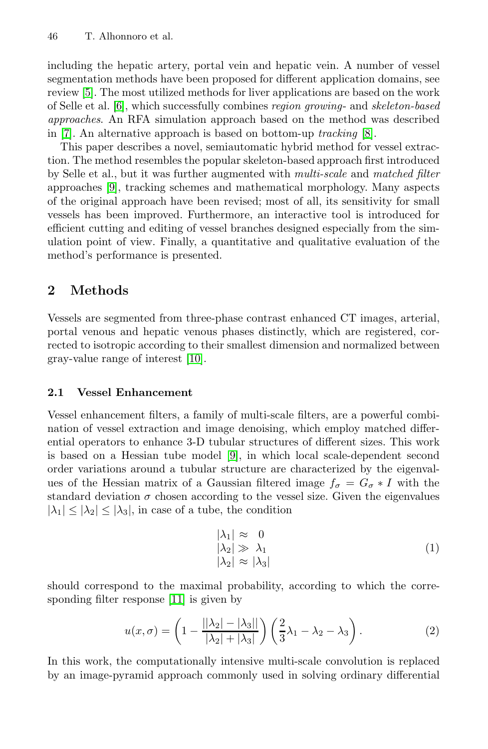#### 46 T. Alhonnoro et al.

including the hepatic artery, portal vein and hepatic vein. A number of vessel segmentation methods have been proposed for different application domains, see review [5]. The most utilized methods for liver applications are based on the work of Selle et al. [6], which successfully combines *region growing*- and *skeleton-based approaches*. An RFA simulation approach based on the method was described in [7]. An alternative approach is based on bottom-up *tracking* [8].

This paper describes a novel, semiautomatic hybrid method for vessel extraction. The method resembles the popular skeleton-based approach first introduced by Selle et al., but it was further augmented with *multi-scale* and *matched filter* approaches [9], tracking schemes and mathematical morphology. Many aspects of the original approach have been revised; most of all, its sensitivity for small vessels has been improved. Furthermore, an interactive tool is introduced for efficient cutting and editing of vessel branches designed especially from the simulation point of view. Finally, a quantitative and qualitative evaluation of the method's [per](#page-7-4)formance is presented.

## **2 Methods**

Vessels are segmented from three-phase contrast enhanced CT images, arterial, portal venous and hepatic venous phases distinctly, which are registered, corrected to isotropic [a](#page-7-5)ccording to their smallest dimension and normalized between gray-value range of interest [10].

#### **2.1 Vessel Enhancement**

Vessel enhancement filters, a family of multi-scale filters, are a powerful combination of vessel extraction and image denoising, which employ matched differential operators to enhance 3-D tubular structures of different sizes. This work is based on a Hessian tube model [9], in which local scale-dependent second order variations around a tubular structure are characterized by the eigenvalues of the Hessian matrix of a Gaussian filtered image  $f_{\sigma} = G_{\sigma} * I$  with the stand[ard](#page-7-6) deviation  $\sigma$  chosen according to the vessel size. Given the eigenvalues  $|\lambda_1| \leq |\lambda_2| \leq |\lambda_3|$ , in case of a tube, the condition

$$
\begin{aligned}\n|\lambda_1| &\approx 0\\ |\lambda_2| &\gg \lambda_1\\ |\lambda_2| &\approx |\lambda_3|\n\end{aligned} \tag{1}
$$

should correspond to the maximal probability, according to which the corresponding filter response [11] is given by

$$
u(x,\sigma) = \left(1 - \frac{||\lambda_2| - |\lambda_3||}{|\lambda_2| + |\lambda_3|}\right) \left(\frac{2}{3}\lambda_1 - \lambda_2 - \lambda_3\right). \tag{2}
$$

In this work, the computationally intensive multi-scale convolution is replaced by an image-pyramid approach commonly used in solving ordinary differential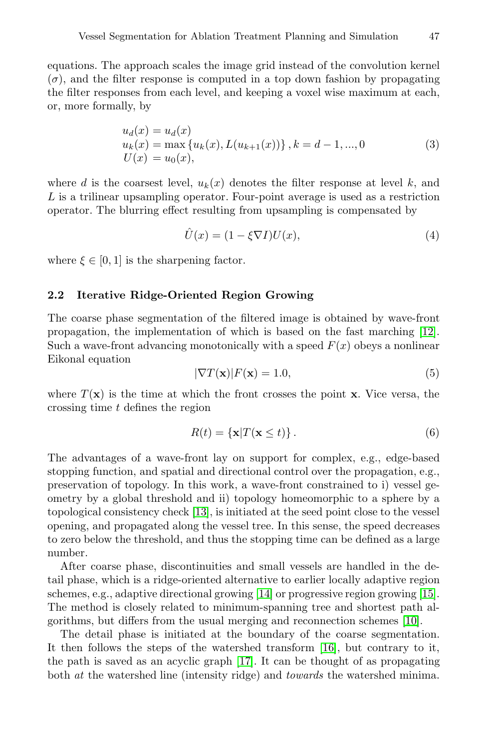equations. The approach scales the image grid instead of the convolution kernel  $(\sigma)$ , and the filter response is computed in a top down fashion by propagating the filter responses from each level, and keeping a voxel wise maximum at each, or, more formally, by

$$
u_d(x) = u_d(x)
$$
  
\n
$$
u_k(x) = \max\{u_k(x), L(u_{k+1}(x))\}, k = d - 1, ..., 0
$$
  
\n
$$
U(x) = u_0(x),
$$
\n(3)

where d is the coarsest level,  $u_k(x)$  denotes the filter response at level k, and L is a trilinear upsampling operator. Four-point average is used as a restriction operator. The blurring effect resulting from upsampling is compensated by

$$
\hat{U}(x) = (1 - \xi \nabla I)U(x),\tag{4}
$$

where  $\xi \in [0, 1]$  is the sharpening factor.

#### **2.2 Iterative Ridge-Oriented Region Growing**

The coarse phase segmentation of the filtered image is obtained by wave-front propagation, the implementation of which is based on the fast marching [12]. Such a wave-front advancing monotonically with a speed  $F(x)$  obeys a nonlinear Eikonal equation

$$
|\nabla T(\mathbf{x})|F(\mathbf{x}) = 1.0,\t(5)
$$

where  $T(\mathbf{x})$  is the time at which the front crosses the point **x**. Vice versa, the crossing ti[me](#page-7-7) t defines the region

$$
R(t) = \{\mathbf{x}|T(\mathbf{x} \le t)\}.
$$
\n(6)

The advantages of a wave-front lay on support for complex, e.g., edge-based stopping function, and spatial and directional control over the propagation, e.g., preservation of topolog[y. I](#page-7-8)n this work, a wave-front con[stra](#page-7-9)ined to i) vessel geometry by a global threshold and ii) topology homeomorphic to a sphere by a topological consistency check [13], is initiated at the s[eed](#page-7-4) point close to the vessel opening, and propagated along the vessel tree. In this sense, the speed decreases to zero below the threshold, and thu[s th](#page-7-10)e stopping time can be defined as a large number.

After coarse pha[se,](#page-7-11) discontinuities and small vessels are handled in the detail phase, which is a ridge-oriented alternative to earlier locally adaptive region schemes, e.g., adaptive directional growing [14] or progressive region growing [15]. The method is closely related to minimum-spanning tree and shortest path algorithms, but differs from the usual merging and reconnection schemes [10].

The detail phase is initiated at the boundary of the coarse segmentation. It then follows the steps of the watershed transform [16], but contrary to it, the path is saved as an acyclic graph [17]. It can be thought of as propagating both *at* the watershed line (intensity ridge) and *towards* the watershed minima.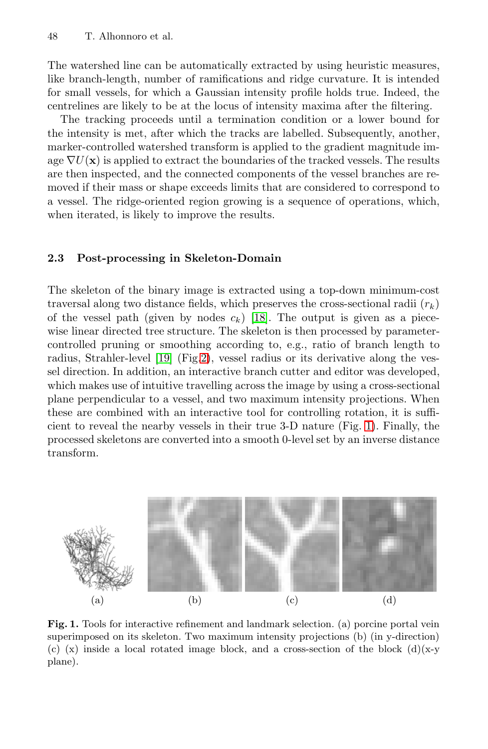#### 48 T. Alhonnoro et al.

The watershed line can be automatically extracted by using heuristic measures, like branch-length, number of ramifications and ridge curvature. It is intended for small vessels, for which a Gaussian intensity profile holds true. Indeed, the centrelines are likely to be at the locus of intensity maxima after the filtering.

The tracking proceeds until a termination condition or a lower bound for the intensity is met, after which the tracks are labelled. Subsequently, another, marker-controlled watershed transform is applied to the gradient magnitude image  $\nabla U(\mathbf{x})$  is applied to extract the boundaries of the tracked vessels. The results are then inspected, and the connected components of the vessel branches are removed if their mass or shape exceeds limits that are considered to correspond to a vessel. The ridge-oriented region growing is a sequence of operations, which, when iterated, is likel[y to](#page-7-12) improve the results.

#### **2.[3](#page-7-13) [P](#page-7-13)ost[-pr](#page-4-0)ocessing in Skeleton-Domain**

The skeleton of the binary image is extracted using a top-down minimum-cost traversal along two distance fields, which preserves the cross-sectional radii  $(r_k)$ of the vessel path (given by nodes  $c_k$ ) [18]. [T](#page-3-0)he output is given as a piecewise linear directed tree structure. The skeleton is then processed by parametercontrolled pruning or smoothing according to, e.g., ratio of branch length to radius, Strahler-level [19] (Fig.2), vessel radius or its derivative along the vessel direction. In addition, an interactive branch cutter and editor was developed, which makes use of intuitive travelling across the image by using a cross-sectional plane perpendicular to a vessel, and two maximum intensity projections. When these are combined with an interactive tool for controlling rotation, it is sufficient to reveal the nearby vessels in their true 3-D nature (Fig. 1). Finally, the processed skeletons are converted into a smooth 0-level set by an inverse distance transform.

<span id="page-3-0"></span>

**Fig. 1.** Tools for interactive refinement and landmark selection. (a) porcine portal vein superimposed on its skeleton. Two maximum intensity projections (b) (in y-direction) (c) (x) inside a local rotated image block, and a cross-section of the block  $(d)(x-y)$ plane).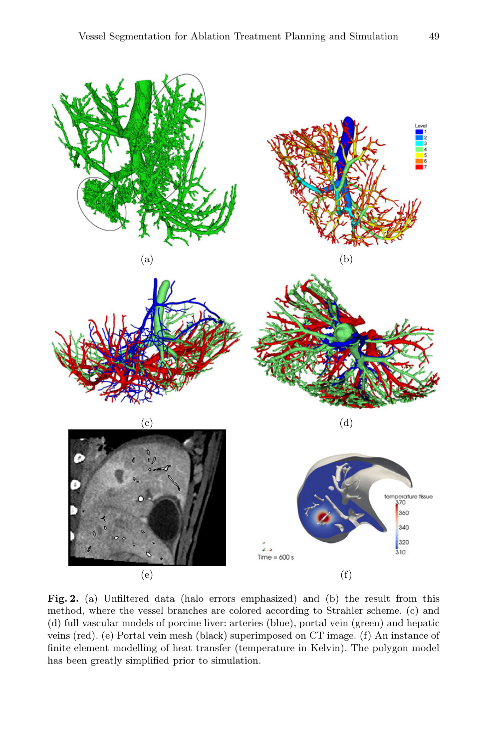

<span id="page-4-0"></span>**Fig. 2.** (a) Unfiltered data (halo errors emphasized) and (b) the result from this method, where the vessel branches are colored according to Strahler scheme. (c) and (d) full vascular models of porcine liver: arteries (blue), portal vein (green) and hepatic veins (red). (e) Portal vein mesh (black) superimposed on CT image. (f) An instance of finite element modelling of heat transfer (temperature in Kelvin). The polygon model has been greatly simplified prior to simulation.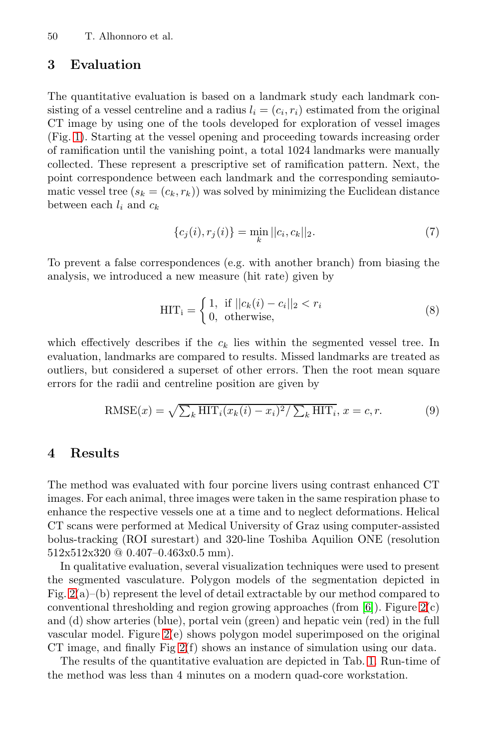50 T. Alhonnoro et al.

### **3 Evaluation**

The quantitative evaluation is based on a landmark study each landmark consisting of a vessel centreline and a radius  $l_i = (c_i, r_i)$  estimated from the original CT image by using one of the tools developed for exploration of vessel images (Fig. 1). Starting at the vessel opening and proceeding towards increasing order of ramification until the vanishing point, a total 1024 landmarks were manually collected. These represent a prescriptive set of ramification pattern. Next, the point correspondence between each landmark and the corresponding semiautomatic vessel tree  $(s_k = (c_k, r_k))$  was solved by minimizing the Euclidean distance between each  $l_i$  and  $c_k$ 

$$
\{c_j(i), r_j(i)\} = \min_k ||c_i, c_k||_2.
$$
 (7)

To prevent a false correspondences (e.g. with another branch) from biasing the analysis, we introduced a new measure (hit rate) given by

$$
HIT_i = \begin{cases} 1, & \text{if } ||c_k(i) - c_i||_2 < r_i \\ 0, & \text{otherwise,} \end{cases}
$$
 (8)

which effectively describes if the  $c_k$  lies within the segmented vessel tree. In evaluation, landmarks are compared to results. Missed landmarks are treated as outliers, but considered a superset of other errors. Then the root mean square errors for the radii and centreline position are given by

$$
\text{RMSE}(x) = \sqrt{\sum_{k} \text{HIT}_i(x_k(i) - x_i)^2 / \sum_{k} \text{HIT}_i}, x = c, r.
$$
 (9)

## **4 Results**

The method was evaluated with four porcine livers using contrast enhanced CT images. For each animal, three images were ta[ken](#page-7-14) in the s[am](#page-4-0)e respiration phase to enhance the respective vessels one at a time and to neglect deformations. Helical CT [sca](#page-4-0)ns were performed at Medical University of Graz using computer-assisted bolus-t[rac](#page-4-0)king (ROI surestart) and 320-line Toshiba Aquilion ONE (resolution 512x512x320 @ 0.407–0.463x0.5 mm).

In qualitative evaluation, several visualizati[on](#page-6-0) techniques were used to present the segmented vasculature. Polygon models of the segmentation depicted in Fig.  $2(a)$ –(b) represent the level of detail extractable by our method compared to conventional thresholding and region growing approaches (from  $[6]$ ). Figure  $2(c)$ and (d) show arteries (blue), portal vein (green) and hepatic vein (red) in the full vascular model. Figure 2(e) shows polygon model superimposed on the original CT image, and finally Fig 2(f) shows an instance of simulation using our data.

The results of the quantitative evaluation are depicted in Tab. 1. Run-time of the method was less than 4 minutes on a modern quad-core workstation.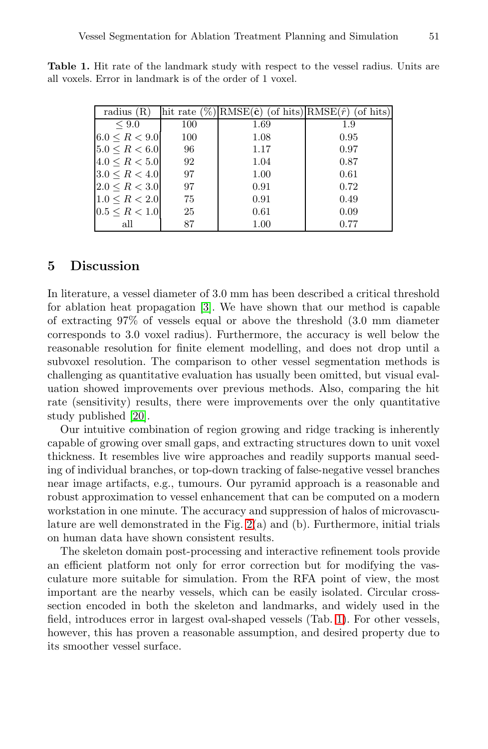| radius $(R)$        |     | hit rate $(\%)$ RMSE $(\hat{\mathbf{c}})$ (of hits)RMSE $(\hat{r})$ | (of hits) |
|---------------------|-----|---------------------------------------------------------------------|-----------|
| $\leq 9.0$          | 100 | 1.69                                                                | 1.9       |
| $6.0 \le R \le 9.0$ | 100 | 1.08                                                                | 0.95      |
| $5.0 \leq R < 6.0$  | 96  | 1.17                                                                | 0.97      |
| $4.0 \leq R < 5.0$  | 92  | 1.04                                                                | 0.87      |
| $3.0 \le R \le 4.0$ | 97  | 1.00                                                                | 0.61      |
| $2.0 \leq R < 3.0$  | 97  | 0.91                                                                | 0.72      |
| $1.0 \le R < 2.0$   | 75  | 0.91                                                                | 0.49      |
| $0.5 \leq R < 1.0$  | 25  | 0.61                                                                | 0.09      |
| all                 | 87  | 1.00                                                                | 0.77      |

<span id="page-6-0"></span>**Table 1.** Hit rate of the landmark study with respect to the vessel radius. Units are all voxels. Error in landmark is of the order of 1 voxel.

## **5 Discussion**

In literature, a vessel diameter of 3.0 mm has been described a critical threshold [fo](#page-7-15)r ablation heat propagation [3]. We have shown that our method is capable of extracting 97% of vessels equal or above the threshold (3.0 mm diameter corresponds to 3.0 voxel radius). Furthermore, the accuracy is well below the reasonable resolution for finite element modelling, and does not drop until a subvoxel resolution. The comparison to other vessel segmentation methods is challenging as quantitative evaluation has usually been omitted, but visual evaluation showed improvements over previous methods. Also, comparing the hit rate (sensitivity) results, there were improvements over the only quantitative study published [20].

Our intuitive com[bin](#page-4-0)ation of region growing and ridge tracking is inherently capable of growing over small gaps, and extracting structures down to unit voxel thickness. It resembles live wire approaches and readily supports manual seeding of individual branches, or top-down tracking of false-negative vessel branches near image artifacts, e.g., tumours. Our pyramid approach is a reasonable and robust approximation to vessel enhancement that can be computed on a modern workstation in one minute. The accurac[y a](#page-6-0)nd suppression of halos of microvasculature are well demonstrated in the Fig. 2(a) and (b). Furthermore, initial trials on human data have shown consistent results.

The skeleton domain post-processing and interactive refinement tools provide an efficient platform not only for error correction but for modifying the vasculature more suitable for simulation. From the RFA point of view, the most important are the nearby vessels, which can be easily isolated. Circular crosssection encoded in both the skeleton and landmarks, and widely used in the field, introduces error in largest oval-shaped vessels (Tab. 1). For other vessels, however, this has proven a reasonable assumption, and desired property due to its smoother vessel surface.